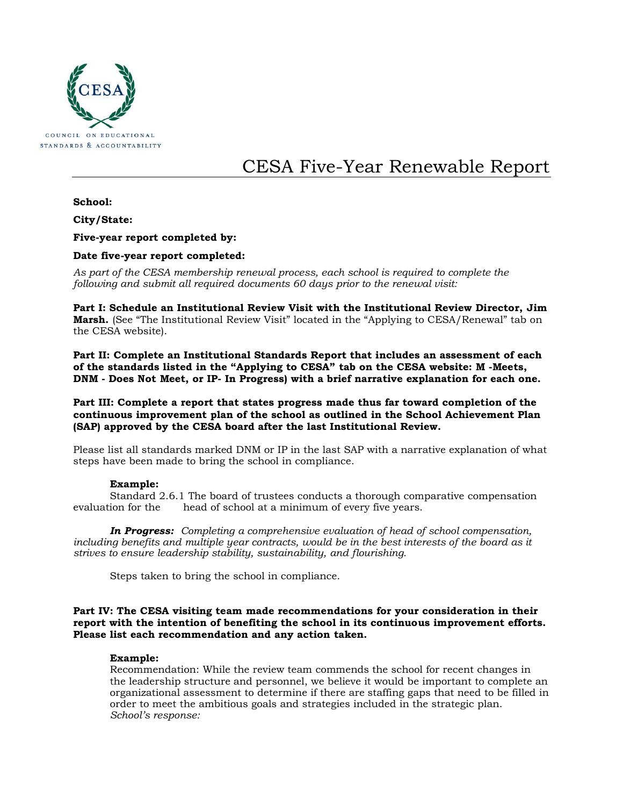

# CESA Five-Year Renewable Report

## **School:**

**City/State:**

**Five-year report completed by:**

## **Date five-year report completed:**

*As part of the CESA membership renewal process, each school is required to complete the following and submit all required documents 60 days prior to the renewal visit:* 

**Part I: Schedule an Institutional Review Visit with the Institutional Review Director, Jim Marsh.** (See "The Institutional Review Visit" located in the "Applying to CESA/Renewal" tab on the CESA website).

**Part II: Complete an Institutional Standards Report that includes an assessment of each of the standards listed in the "Applying to CESA" tab on the CESA website: M -Meets, DNM - Does Not Meet, or IP- In Progress) with a brief narrative explanation for each one.**

**Part III: Complete a report that states progress made thus far toward completion of the continuous improvement plan of the school as outlined in the School Achievement Plan (SAP) approved by the CESA board after the last Institutional Review.** 

Please list all standards marked DNM or IP in the last SAP with a narrative explanation of what steps have been made to bring the school in compliance.

#### **Example:**

Standard 2.6.1 The board of trustees conducts a thorough comparative compensation evaluation for the head of school at a minimum of every five years.

*In Progress: Completing a comprehensive evaluation of head of school compensation, including benefits and multiple year contracts, would be in the best interests of the board as it strives to ensure leadership stability, sustainability, and flourishing.*

Steps taken to bring the school in compliance.

### **Part IV: The CESA visiting team made recommendations for your consideration in their report with the intention of benefiting the school in its continuous improvement efforts. Please list each recommendation and any action taken.**

#### **Example:**

Recommendation: While the review team commends the school for recent changes in the leadership structure and personnel, we believe it would be important to complete an organizational assessment to determine if there are staffing gaps that need to be filled in order to meet the ambitious goals and strategies included in the strategic plan. *School's response:*